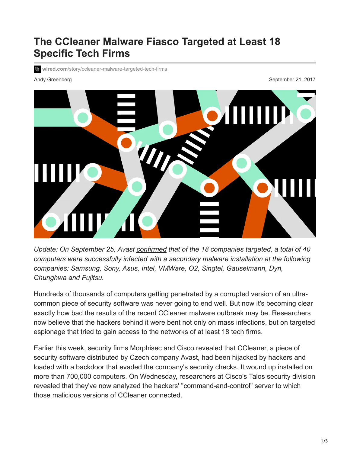## **The CCleaner Malware Fiasco Targeted at Least 18 Specific Tech Firms**

**II** wired.com[/story/ccleaner-malware-targeted-tech-firms](https://www.wired.com/story/ccleaner-malware-targeted-tech-firms)

Andy Greenberg September 21, 2017



*Update: On September 25, Avast [confirmed](https://blog.avast.com/additional-information-regarding-the-recent-ccleaner-apt-security-incident) that of the 18 companies targeted, a total of 40 computers were successfully infected with a secondary malware installation at the following companies: Samsung, Sony, Asus, Intel, VMWare, O2, Singtel, Gauselmann, Dyn, Chunghwa and Fujitsu.*

Hundreds of thousands of computers getting penetrated by a corrupted version of an ultracommon piece of security software was never going to end well. But now it's becoming clear exactly how bad the results of the recent CCleaner malware outbreak may be. Researchers now believe that the hackers behind it were bent not only on mass infections, but on targeted espionage that tried to gain access to the networks of at least 18 tech firms.

Earlier this week, security firms Morphisec and Cisco revealed that CCleaner, a piece of security software distributed by Czech company Avast, had been hijacked by hackers and loaded with a backdoor that evaded the company's security checks. It wound up installed on more than 700,000 computers. On Wednesday, researchers at Cisco's Talos security division [revealed](http://blog.talosintelligence.com/2017/09/ccleaner-c2-concern.html) that they've now analyzed the hackers' "command-and-control" server to which those malicious versions of CCleaner connected.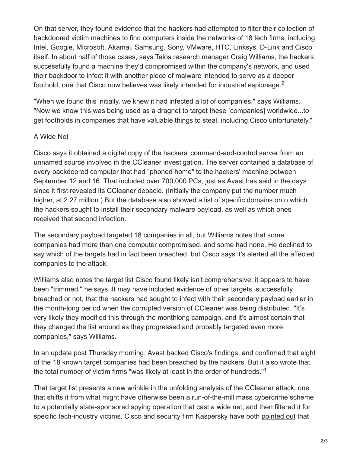On that server, they found evidence that the hackers had attempted to filter their collection of backdoored victim machines to find computers inside the networks of 18 tech firms, including Intel, Google, Microsoft, Akamai, Samsung, Sony, VMware, HTC, Linksys, D-Link and Cisco itself. In about half of those cases, says Talos research manager Craig Williams, the hackers successfully found a machine they'd compromised within the company's network, and used their backdoor to infect it with another piece of malware intended to serve as a deeper foothold, one that Cisco now believes was likely intended for industrial espionage.<sup>2</sup>

"When we found this initially, we knew it had infected a lot of companies," says Williams. "Now we know this was being used as a dragnet to target these [companies] worldwide...to get footholds in companies that have valuable things to steal, including Cisco unfortunately."

## A Wide Net

Cisco says it obtained a digital copy of the hackers' command-and-control server from an unnamed source involved in the CCleaner investigation. The server contained a database of every backdoored computer that had "phoned home" to the hackers' machine between September 12 and 16. That included over 700,000 PCs, just as Avast has said in the days since it first revealed its CCleaner debacle. (Initially the company put the number much higher, at 2.27 million.) But the database also showed a list of specific domains onto which the hackers sought to install their secondary malware payload, as well as which ones received that second infection.

The secondary payload targeted 18 companies in all, but Williams notes that some companies had more than one computer compromised, and some had none. He declined to say which of the targets had in fact been breached, but Cisco says it's alerted all the affected companies to the attack.

Williams also notes the target list Cisco found likely isn't comprehensive; it appears to have been "trimmed," he says. It may have included evidence of other targets, successfully breached or not, that the hackers had sought to infect with their secondary payload earlier in the month-long period when the corrupted version of CCleaner was being distributed. "It's very likely they modified this through the monthlong campaign, and it's almost certain that they changed the list around as they progressed and probably targeted even more companies," says Williams.

In an [update post Thursday morning,](https://blog.avast.com/progress-on-ccleaner-investigation) Avast backed Cisco's findings, and confirmed that eight of the 18 known target companies had been breached by the hackers. But it also wrote that the total number of victim firms "was likely at least in the order of hundreds."<sup>1</sup>

That target list presents a new wrinkle in the unfolding analysis of the CCleaner attack, one that shifts it from what might have otherwise been a run-of-the-mill mass cybercrime scheme to a potentially state-sponsored spying operation that cast a wide net, and then filtered it for specific tech-industry victims. Cisco and security firm Kaspersky have both [pointed out](https://twitter.com/craiu/status/910059453948579840) that